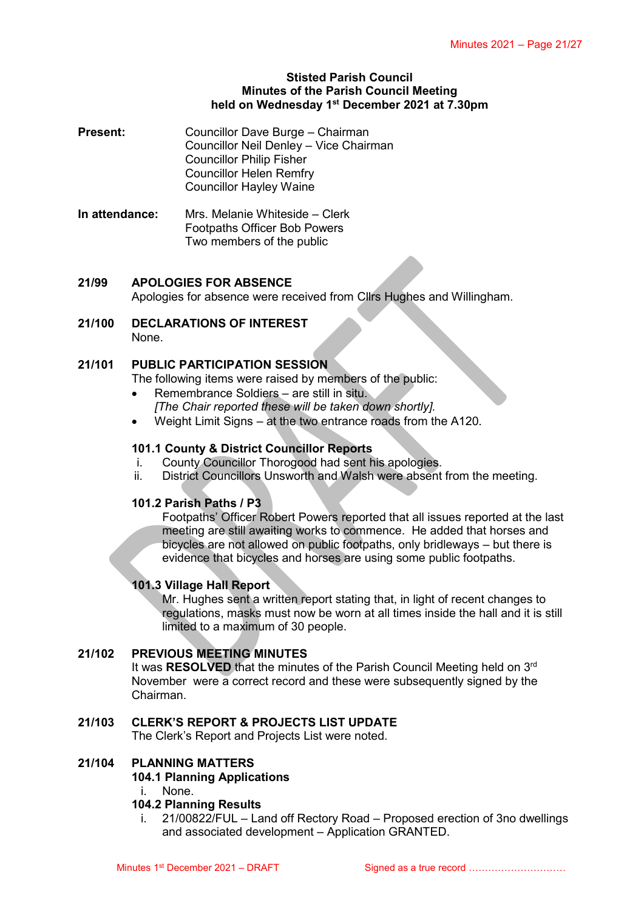#### **Stisted Parish Council Minutes of the Parish Council Meeting held on Wednesday 1 st December 2021 at 7.30pm**

- **Present:** Councillor Dave Burge Chairman Councillor Neil Denley – Vice Chairman Councillor Philip Fisher Councillor Helen Remfry Councillor Hayley Waine
- **In attendance:** Mrs. Melanie Whiteside Clerk Footpaths Officer Bob Powers Two members of the public

# **21/99 APOLOGIES FOR ABSENCE**

Apologies for absence were received from Cllrs Hughes and Willingham.

**21/100 DECLARATIONS OF INTEREST** None.

#### **21/101 PUBLIC PARTICIPATION SESSION**

- The following items were raised by members of the public:
	- Remembrance Soldiers are still in situ.
	- *[The Chair reported these will be taken down shortly].*
- Weight Limit Signs at the two entrance roads from the A120.

# **101.1 County & District Councillor Reports**

- i. County Councillor Thorogood had sent his apologies.
- ii. District Councillors Unsworth and Walsh were absent from the meeting.

# **101.2 Parish Paths / P3**

Footpaths' Officer Robert Powers reported that all issues reported at the last meeting are still awaiting works to commence. He added that horses and bicycles are not allowed on public footpaths, only bridleways – but there is evidence that bicycles and horses are using some public footpaths.

# **101.3 Village Hall Report**

Mr. Hughes sent a written report stating that, in light of recent changes to regulations, masks must now be worn at all times inside the hall and it is still limited to a maximum of 30 people.

# **21/102 PREVIOUS MEETING MINUTES**

It was RESOLVED that the minutes of the Parish Council Meeting held on 3<sup>rd</sup> November were a correct record and these were subsequently signed by the Chairman.

# **21/103 CLERK'S REPORT & PROJECTS LIST UPDATE**

The Clerk's Report and Projects List were noted.

# **21/104 PLANNING MATTERS**

# **104.1 Planning Applications**

i. None.

#### **104.2 Planning Results**

i. 21/00822/FUL – Land off Rectory Road – Proposed erection of 3no dwellings and associated development – Application GRANTED.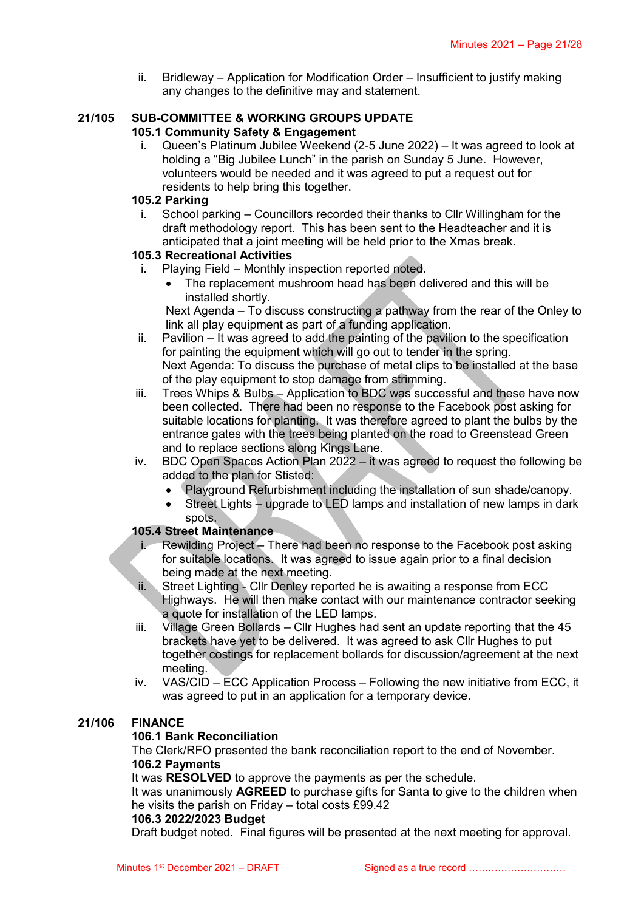ii. Bridleway – Application for Modification Order – Insufficient to justify making any changes to the definitive may and statement.

#### **21/105 SUB-COMMITTEE & WORKING GROUPS UPDATE 105.1 Community Safety & Engagement**

i. Queen's Platinum Jubilee Weekend (2-5 June 2022) – It was agreed to look at holding a "Big Jubilee Lunch" in the parish on Sunday 5 June. However, volunteers would be needed and it was agreed to put a request out for residents to help bring this together.

# **105.2 Parking**

i. School parking – Councillors recorded their thanks to Cllr Willingham for the draft methodology report. This has been sent to the Headteacher and it is anticipated that a joint meeting will be held prior to the Xmas break.

# **105.3 Recreational Activities**

- i. Playing Field Monthly inspection reported noted.
	- The replacement mushroom head has been delivered and this will be installed shortly.

Next Agenda – To discuss constructing a pathway from the rear of the Onley to link all play equipment as part of a funding application.

- ii. Pavilion It was agreed to add the painting of the pavilion to the specification for painting the equipment which will go out to tender in the spring. Next Agenda: To discuss the purchase of metal clips to be installed at the base of the play equipment to stop damage from strimming.
- iii. Trees Whips & Bulbs Application to BDC was successful and these have now been collected. There had been no response to the Facebook post asking for suitable locations for planting. It was therefore agreed to plant the bulbs by the entrance gates with the trees being planted on the road to Greenstead Green and to replace sections along Kings Lane.
- iv. BDC Open Spaces Action Plan 2022 it was agreed to request the following be added to the plan for Stisted:
	- Playground Refurbishment including the installation of sun shade/canopy.
	- Street Lights upgrade to LED lamps and installation of new lamps in dark spots.

# **105.4 Street Maintenance**

- Rewilding Project There had been no response to the Facebook post asking for suitable locations. It was agreed to issue again prior to a final decision being made at the next meeting.
- ii. Street Lighting Cllr Denley reported he is awaiting a response from ECC Highways. He will then make contact with our maintenance contractor seeking a quote for installation of the LED lamps.
- iii. Village Green Bollards Cllr Hughes had sent an update reporting that the 45 brackets have yet to be delivered. It was agreed to ask Cllr Hughes to put together costings for replacement bollards for discussion/agreement at the next meeting.
- iv. VAS/CID ECC Application Process Following the new initiative from ECC, it was agreed to put in an application for a temporary device.

# **21/106 FINANCE**

# **106.1 Bank Reconciliation**

The Clerk/RFO presented the bank reconciliation report to the end of November. **106.2 Payments**

It was **RESOLVED** to approve the payments as per the schedule.

It was unanimously **AGREED** to purchase gifts for Santa to give to the children when he visits the parish on Friday – total costs £99.42

#### **106.3 2022/2023 Budget**

Draft budget noted. Final figures will be presented at the next meeting for approval.